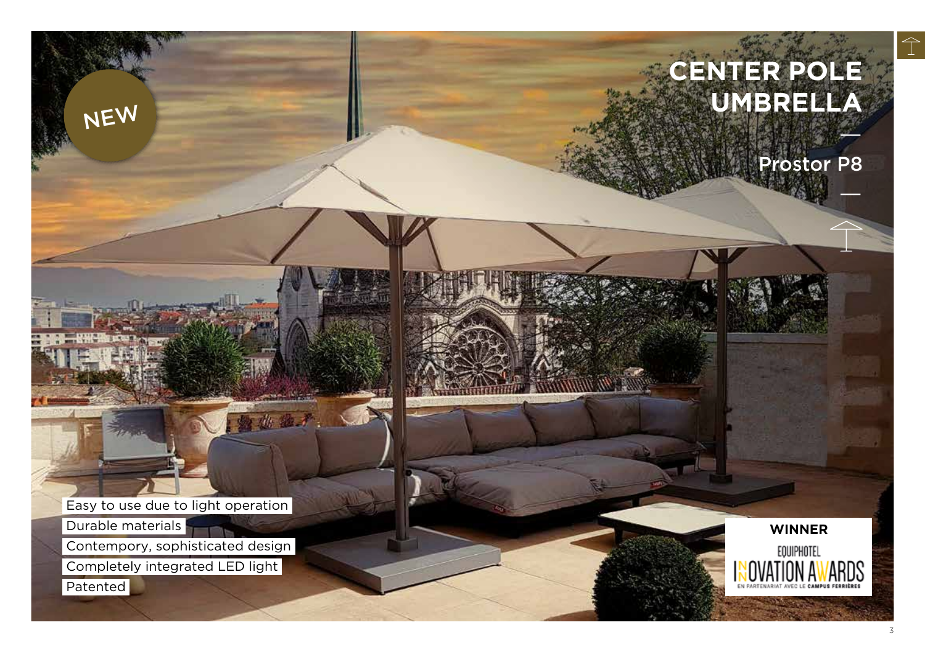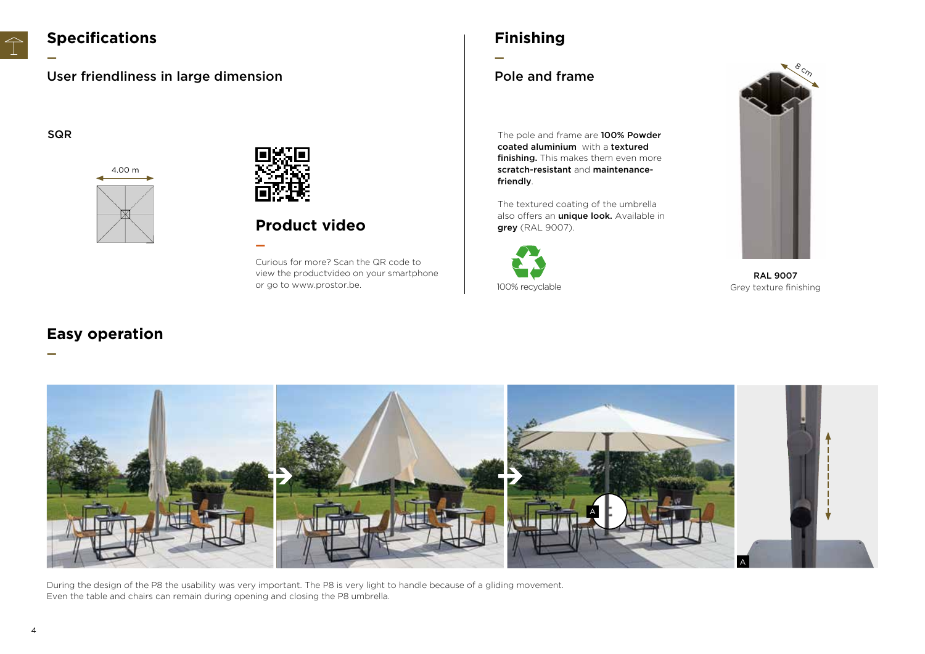

## **Specifications**

User friendliness in large dimension

**—**

**—**





**—**

## **Product video**

Curious for more? Scan the QR code to view the productvideo on your smartphone or go to www.prostor.be.

# **Finishing**

**—**

### Pole and frame

SQR SQR The pole and frame are 100% Powder coated aluminium with a textured finishing. This makes them even more scratch-resistant and maintenancefriendly.

> The textured coating of the umbrella also offers an *unique look*. Available in grey (RAL 9007).





RAL 9007 Grey texture finishing

## **Easy operation**



During the design of the P8 the usability was very important. The P8 is very light to handle because of a gliding movement. Even the table and chairs can remain during opening and closing the P8 umbrella.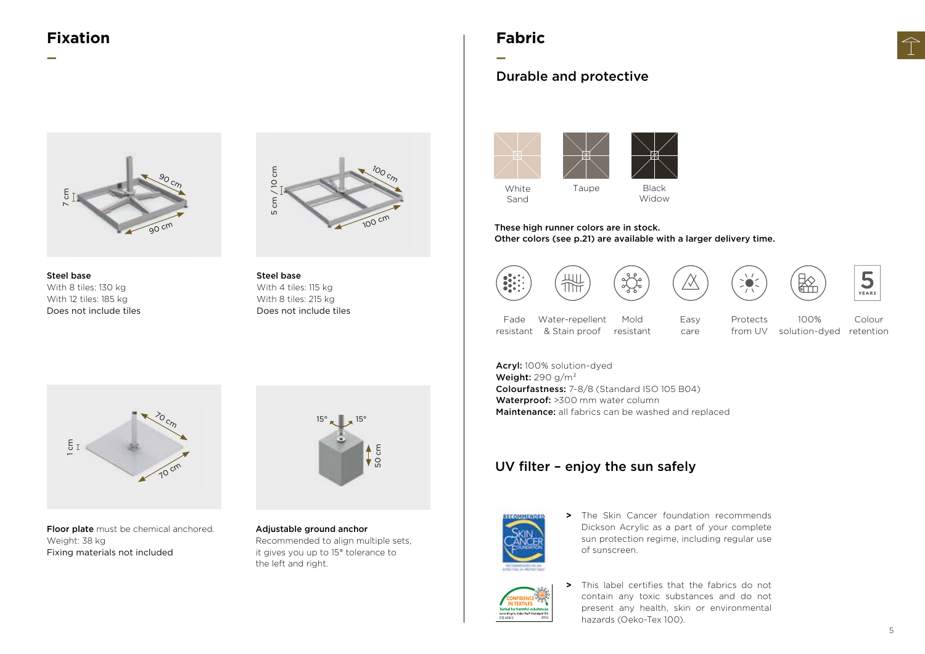## **Fixation**

**—**





Steel base With 8 tiles: 130 kg With 12 tiles: 185 kg Does not include tiles

Steel base With 4 tiles: 115 kg With 8 tiles: 215 kg Does not include tiles

### **Fabric**

**—**

#### Durable and protective





Other colors (see p.21) are available with a larger delivery time.









100%



Fade resistant & Stain proof Water-repellent Mold resistant

πĦ

These high runner colors are in stock.

Protects from UV Easy care

 $\sum_{i=1}^{n}$ 

solution-dyed retention Colour



Floor plate must be chemical anchored. Weight: 38 kg Fixing materials not included



Adjustable ground anchor Recommended to align multiple sets, it gives you up to 15° tolerance to the left and right.

Acryl: 100% solution-dyed Weight:  $290$  g/m<sup>2</sup> Colourfastness: 7-8/8 (Standard ISO 105 B04) Waterproof: >300 mm water column Maintenance: all fabrics can be washed and replaced

#### UV filter – enjoy the sun safely



**>** The Skin Cancer foundation recommends Dickson Acrylic as a part of your complete sun protection regime, including regular use of sunscreen.



**>** This label certifies that the fabrics do not contain any toxic substances and do not present any health, skin or environmental hazards (Oeko-Tex 100).